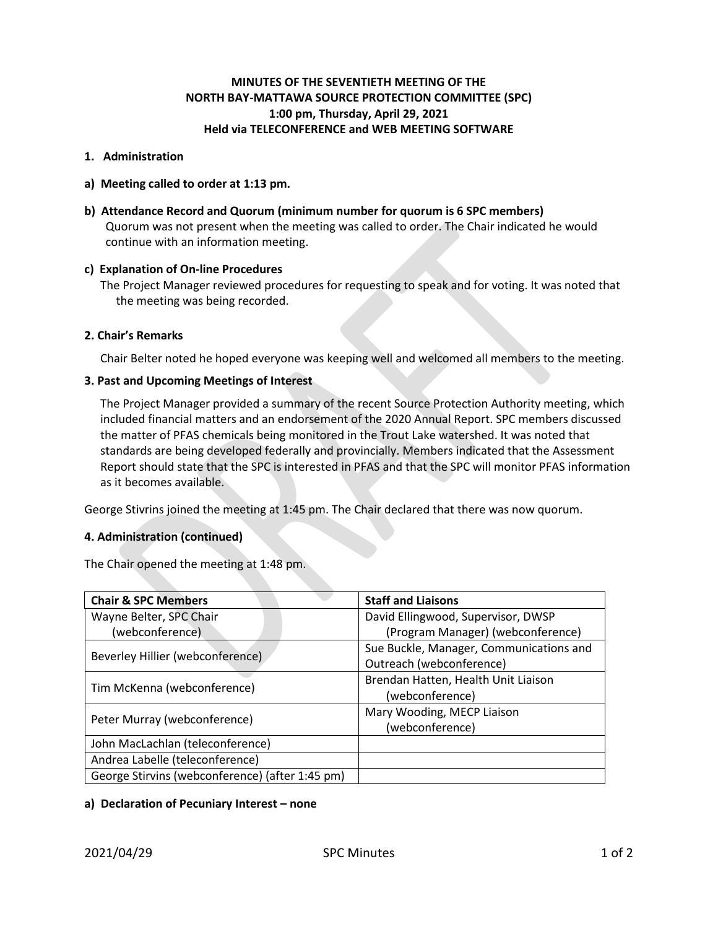# **MINUTES OF THE SEVENTIETH MEETING OF THE NORTH BAY-MATTAWA SOURCE PROTECTION COMMITTEE (SPC) 1:00 pm, Thursday, April 29, 2021 Held via TELECONFERENCE and WEB MEETING SOFTWARE**

## **1. Administration**

- **a) Meeting called to order at 1:13 pm.**
- **b) Attendance Record and Quorum (minimum number for quorum is 6 SPC members)** Quorum was not present when the meeting was called to order. The Chair indicated he would continue with an information meeting.

# **c) Explanation of On-line Procedures**

The Project Manager reviewed procedures for requesting to speak and for voting. It was noted that the meeting was being recorded.

# **2. Chair's Remarks**

Chair Belter noted he hoped everyone was keeping well and welcomed all members to the meeting.

# **3. Past and Upcoming Meetings of Interest**

The Project Manager provided a summary of the recent Source Protection Authority meeting, which included financial matters and an endorsement of the 2020 Annual Report. SPC members discussed the matter of PFAS chemicals being monitored in the Trout Lake watershed. It was noted that standards are being developed federally and provincially. Members indicated that the Assessment Report should state that the SPC is interested in PFAS and that the SPC will monitor PFAS information as it becomes available.

George Stivrins joined the meeting at 1:45 pm. The Chair declared that there was now quorum.

## **4. Administration (continued)**

The Chair opened the meeting at 1:48 pm.

| <b>Chair &amp; SPC Members</b>                  | <b>Staff and Liaisons</b>               |
|-------------------------------------------------|-----------------------------------------|
| Wayne Belter, SPC Chair                         | David Ellingwood, Supervisor, DWSP      |
| (webconference)                                 | (Program Manager) (webconference)       |
| Beverley Hillier (webconference)                | Sue Buckle, Manager, Communications and |
|                                                 | Outreach (webconference)                |
| Tim McKenna (webconference)                     | Brendan Hatten, Health Unit Liaison     |
|                                                 | (webconference)                         |
| Peter Murray (webconference)                    | Mary Wooding, MECP Liaison              |
|                                                 | (webconference)                         |
| John MacLachlan (teleconference)                |                                         |
| Andrea Labelle (teleconference)                 |                                         |
| George Stirvins (webconference) (after 1:45 pm) |                                         |

# **a) Declaration of Pecuniary Interest – none**